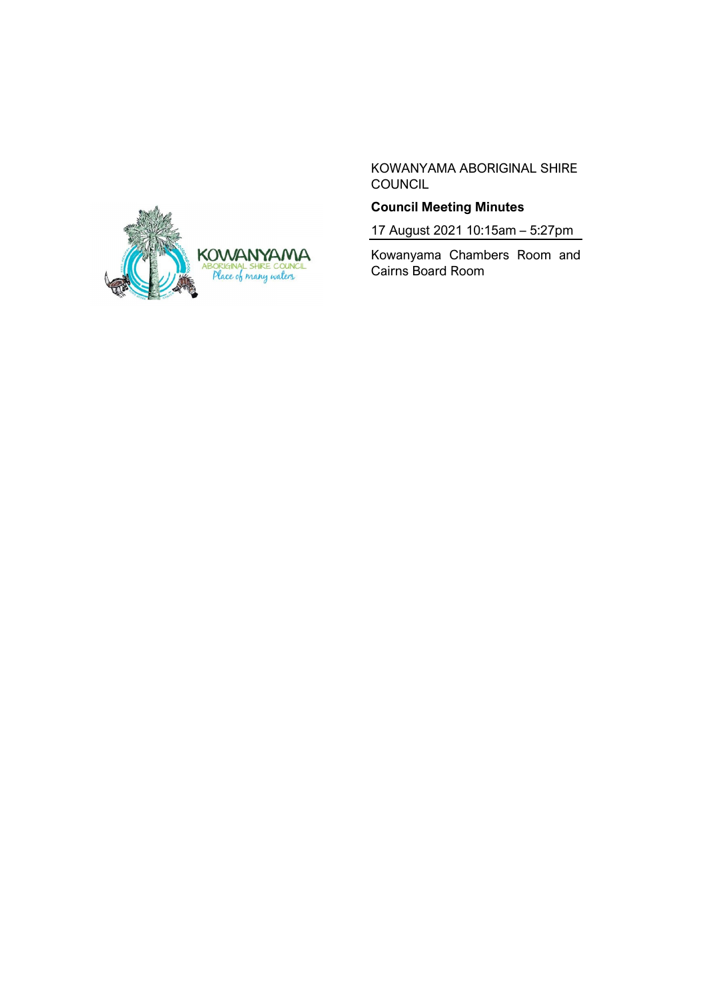

KOWANYAMA ABORIGINAL SHIRE **COUNCIL** 

# **Council Meeting Minutes**

17 August 2021 10:15am – 5:27pm

Kowanyama Chambers Room and Cairns Board Room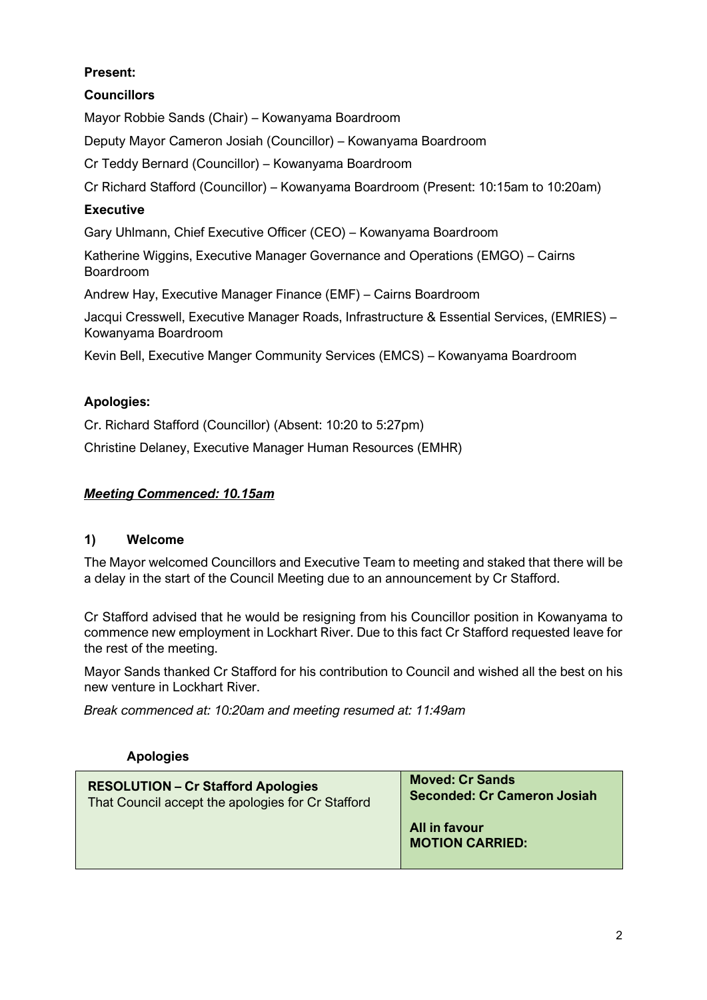# **Present:**

# **Councillors**

Mayor Robbie Sands (Chair) – Kowanyama Boardroom

Deputy Mayor Cameron Josiah (Councillor) – Kowanyama Boardroom

Cr Teddy Bernard (Councillor) – Kowanyama Boardroom

Cr Richard Stafford (Councillor) – Kowanyama Boardroom (Present: 10:15am to 10:20am)

# **Executive**

Gary Uhlmann, Chief Executive Officer (CEO) – Kowanyama Boardroom

Katherine Wiggins, Executive Manager Governance and Operations (EMGO) – Cairns Boardroom

Andrew Hay, Executive Manager Finance (EMF) – Cairns Boardroom

Jacqui Cresswell, Executive Manager Roads, Infrastructure & Essential Services, (EMRIES) – Kowanyama Boardroom

Kevin Bell, Executive Manger Community Services (EMCS) – Kowanyama Boardroom

# **Apologies:**

Cr. Richard Stafford (Councillor) (Absent: 10:20 to 5:27pm) Christine Delaney, Executive Manager Human Resources (EMHR)

# *Meeting Commenced: 10.15am*

### **1) Welcome**

The Mayor welcomed Councillors and Executive Team to meeting and staked that there will be a delay in the start of the Council Meeting due to an announcement by Cr Stafford.

Cr Stafford advised that he would be resigning from his Councillor position in Kowanyama to commence new employment in Lockhart River. Due to this fact Cr Stafford requested leave for the rest of the meeting.

Mayor Sands thanked Cr Stafford for his contribution to Council and wished all the best on his new venture in Lockhart River.

*Break commenced at: 10:20am and meeting resumed at: 11:49am*

### **Apologies**

| <b>RESOLUTION - Cr Stafford Apologies</b>         | <b>Moved: Cr Sands</b>                  |
|---------------------------------------------------|-----------------------------------------|
| That Council accept the apologies for Cr Stafford | <b>Seconded: Cr Cameron Josiah</b>      |
|                                                   | All in favour<br><b>MOTION CARRIED:</b> |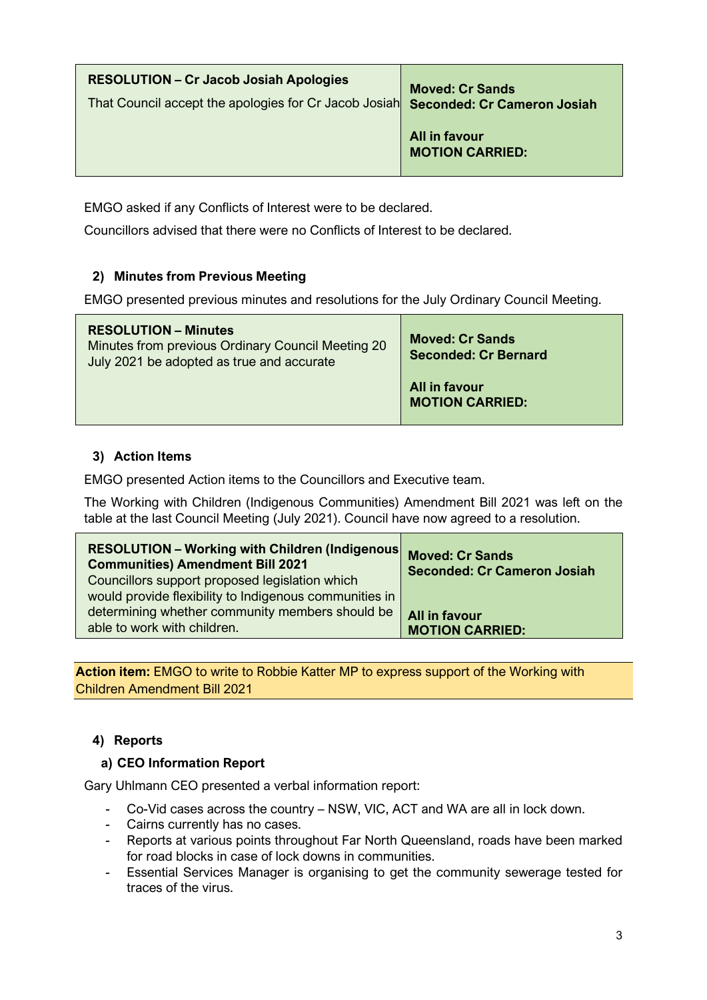| <b>RESOLUTION – Cr Jacob Josiah Apologies</b><br>That Council accept the apologies for Cr Jacob Josiah Seconded: Cr Cameron Josiah | <b>Moved: Cr Sands</b>                         |
|------------------------------------------------------------------------------------------------------------------------------------|------------------------------------------------|
|                                                                                                                                    | <b>All in favour</b><br><b>MOTION CARRIED:</b> |

EMGO asked if any Conflicts of Interest were to be declared.

Councillors advised that there were no Conflicts of Interest to be declared.

# **2) Minutes from Previous Meeting**

EMGO presented previous minutes and resolutions for the July Ordinary Council Meeting.

| <b>RESOLUTION - Minutes</b><br>Minutes from previous Ordinary Council Meeting 20<br>July 2021 be adopted as true and accurate | <b>Moved: Cr Sands</b><br><b>Seconded: Cr Bernard</b> |
|-------------------------------------------------------------------------------------------------------------------------------|-------------------------------------------------------|
|                                                                                                                               | All in favour<br><b>MOTION CARRIED:</b>               |

### **3) Action Items**

EMGO presented Action items to the Councillors and Executive team.

The Working with Children (Indigenous Communities) Amendment Bill 2021 was left on the table at the last Council Meeting (July 2021). Council have now agreed to a resolution.

| <b>RESOLUTION - Working with Children (Indigenous Moved: Cr Sands</b><br><b>Communities) Amendment Bill 2021</b><br>Councillors support proposed legislation which<br>would provide flexibility to Indigenous communities in | <b>Seconded: Cr Cameron Josiah</b> |
|------------------------------------------------------------------------------------------------------------------------------------------------------------------------------------------------------------------------------|------------------------------------|
| determining whether community members should be                                                                                                                                                                              | <b>All in favour</b>               |
| able to work with children.                                                                                                                                                                                                  | <b>MOTION CARRIED:</b>             |

**Action item:** EMGO to write to Robbie Katter MP to express support of the Working with Children Amendment Bill 2021

# **4) Reports**

### **a) CEO Information Report**

Gary Uhlmann CEO presented a verbal information report:

- Co-Vid cases across the country NSW, VIC, ACT and WA are all in lock down.
- Cairns currently has no cases.
- Reports at various points throughout Far North Queensland, roads have been marked for road blocks in case of lock downs in communities.
- Essential Services Manager is organising to get the community sewerage tested for traces of the virus.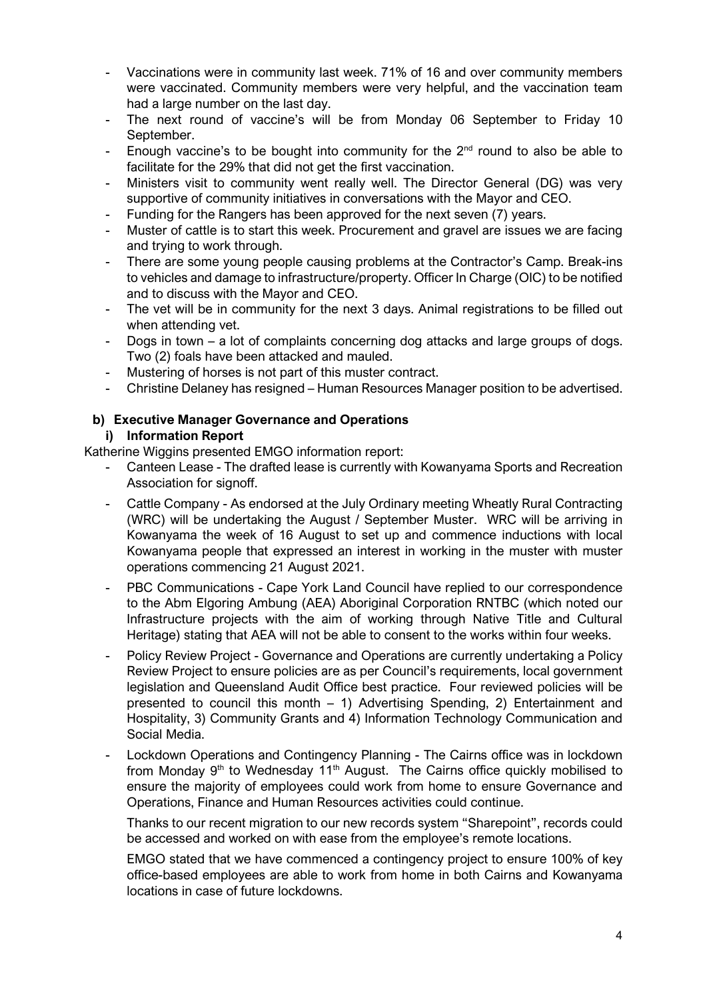- Vaccinations were in community last week. 71% of 16 and over community members were vaccinated. Community members were very helpful, and the vaccination team had a large number on the last day.
- The next round of vaccine's will be from Monday 06 September to Friday 10 September.
- Enough vaccine's to be bought into community for the  $2<sup>nd</sup>$  round to also be able to facilitate for the 29% that did not get the first vaccination.
- Ministers visit to community went really well. The Director General (DG) was very supportive of community initiatives in conversations with the Mayor and CEO.
- Funding for the Rangers has been approved for the next seven (7) years.
- Muster of cattle is to start this week. Procurement and gravel are issues we are facing and trying to work through.
- There are some young people causing problems at the Contractor's Camp. Break-ins to vehicles and damage to infrastructure/property. Officer In Charge (OIC) to be notified and to discuss with the Mayor and CEO.
- The vet will be in community for the next 3 days. Animal registrations to be filled out when attending vet.
- Dogs in town a lot of complaints concerning dog attacks and large groups of dogs. Two (2) foals have been attacked and mauled.
- Mustering of horses is not part of this muster contract.
- Christine Delaney has resigned Human Resources Manager position to be advertised.

#### **b) Executive Manager Governance and Operations i) Information Report**

Katherine Wiggins presented EMGO information report:

- Canteen Lease The drafted lease is currently with Kowanyama Sports and Recreation Association for signoff.
- Cattle Company As endorsed at the July Ordinary meeting Wheatly Rural Contracting (WRC) will be undertaking the August / September Muster. WRC will be arriving in Kowanyama the week of 16 August to set up and commence inductions with local Kowanyama people that expressed an interest in working in the muster with muster operations commencing 21 August 2021.
- PBC Communications Cape York Land Council have replied to our correspondence to the Abm Elgoring Ambung (AEA) Aboriginal Corporation RNTBC (which noted our Infrastructure projects with the aim of working through Native Title and Cultural Heritage) stating that AEA will not be able to consent to the works within four weeks.
- Policy Review Project Governance and Operations are currently undertaking a Policy Review Project to ensure policies are as per Council's requirements, local government legislation and Queensland Audit Office best practice. Four reviewed policies will be presented to council this month – 1) Advertising Spending, 2) Entertainment and Hospitality, 3) Community Grants and 4) Information Technology Communication and Social Media.
- Lockdown Operations and Contingency Planning The Cairns office was in lockdown from Monday  $9<sup>th</sup>$  to Wednesday 11<sup>th</sup> August. The Cairns office quickly mobilised to ensure the majority of employees could work from home to ensure Governance and Operations, Finance and Human Resources activities could continue.

Thanks to our recent migration to our new records system "Sharepoint", records could be accessed and worked on with ease from the employee's remote locations.

EMGO stated that we have commenced a contingency project to ensure 100% of key office-based employees are able to work from home in both Cairns and Kowanyama locations in case of future lockdowns.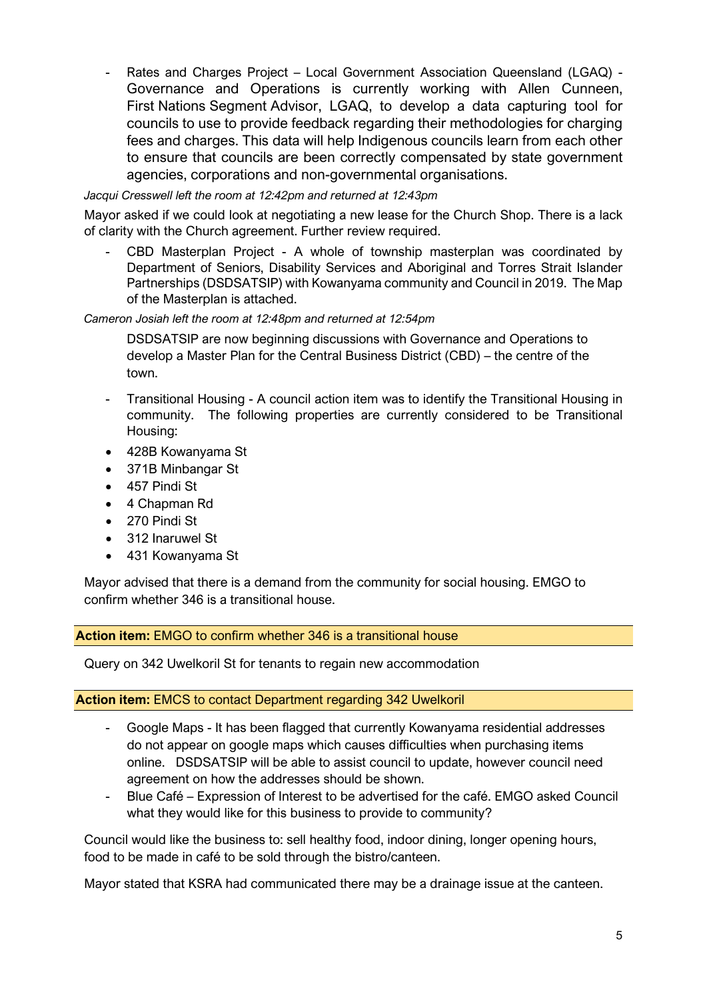- Rates and Charges Project – Local Government Association Queensland (LGAQ) - Governance and Operations is currently working with Allen Cunneen, First Nations Segment Advisor, LGAQ, to develop a data capturing tool for councils to use to provide feedback regarding their methodologies for charging fees and charges. This data will help Indigenous councils learn from each other to ensure that councils are been correctly compensated by state government agencies, corporations and non-governmental organisations.

*Jacqui Cresswell left the room at 12:42pm and returned at 12:43pm*

Mayor asked if we could look at negotiating a new lease for the Church Shop. There is a lack of clarity with the Church agreement. Further review required.

CBD Masterplan Project - A whole of township masterplan was coordinated by Department of Seniors, Disability Services and Aboriginal and Torres Strait Islander Partnerships (DSDSATSIP) with Kowanyama community and Council in 2019. The Map of the Masterplan is attached.

*Cameron Josiah left the room at 12:48pm and returned at 12:54pm*

DSDSATSIP are now beginning discussions with Governance and Operations to develop a Master Plan for the Central Business District (CBD) – the centre of the town.

- Transitional Housing A council action item was to identify the Transitional Housing in community. The following properties are currently considered to be Transitional Housing:
- 428B Kowanyama St
- 371B Minbangar St
- 457 Pindi St
- 4 Chapman Rd
- 270 Pindi St
- 312 Inaruwel St
- 431 Kowanyama St

Mayor advised that there is a demand from the community for social housing. EMGO to confirm whether 346 is a transitional house.

**Action item:** EMGO to confirm whether 346 is a transitional house

Query on 342 Uwelkoril St for tenants to regain new accommodation

#### **Action item:** EMCS to contact Department regarding 342 Uwelkoril

- Google Maps It has been flagged that currently Kowanyama residential addresses do not appear on google maps which causes difficulties when purchasing items online. DSDSATSIP will be able to assist council to update, however council need agreement on how the addresses should be shown.
- Blue Café Expression of Interest to be advertised for the café. EMGO asked Council what they would like for this business to provide to community?

Council would like the business to: sell healthy food, indoor dining, longer opening hours, food to be made in café to be sold through the bistro/canteen.

Mayor stated that KSRA had communicated there may be a drainage issue at the canteen.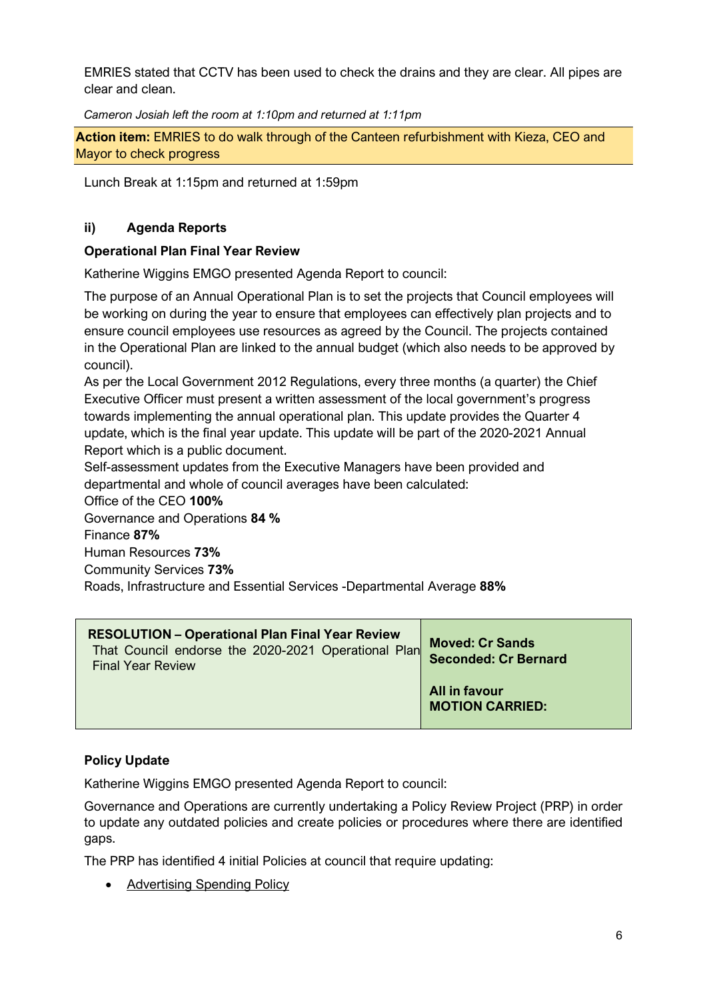EMRIES stated that CCTV has been used to check the drains and they are clear. All pipes are clear and clean.

*Cameron Josiah left the room at 1:10pm and returned at 1:11pm*

**Action item:** EMRIES to do walk through of the Canteen refurbishment with Kieza, CEO and Mayor to check progress

Lunch Break at 1:15pm and returned at 1:59pm

# **ii) Agenda Reports**

### **Operational Plan Final Year Review**

Katherine Wiggins EMGO presented Agenda Report to council:

The purpose of an Annual Operational Plan is to set the projects that Council employees will be working on during the year to ensure that employees can effectively plan projects and to ensure council employees use resources as agreed by the Council. The projects contained in the Operational Plan are linked to the annual budget (which also needs to be approved by council).

As per the Local Government 2012 Regulations, every three months (a quarter) the Chief Executive Officer must present a written assessment of the local government's progress towards implementing the annual operational plan. This update provides the Quarter 4 update, which is the final year update. This update will be part of the 2020-2021 Annual Report which is a public document.

Self-assessment updates from the Executive Managers have been provided and departmental and whole of council averages have been calculated:

Office of the CEO **100%** Governance and Operations **84 %** Finance **87%** Human Resources **73%** Community Services **73%** Roads, Infrastructure and Essential Services -Departmental Average **88%**

| <b>RESOLUTION - Operational Plan Final Year Review</b><br>That Council endorse the 2020-2021 Operational Plan<br><b>Final Year Review</b> | <b>Moved: Cr Sands</b><br><b>Seconded: Cr Bernard</b> |
|-------------------------------------------------------------------------------------------------------------------------------------------|-------------------------------------------------------|
|                                                                                                                                           | All in favour<br><b>MOTION CARRIED:</b>               |

### **Policy Update**

Katherine Wiggins EMGO presented Agenda Report to council:

Governance and Operations are currently undertaking a Policy Review Project (PRP) in order to update any outdated policies and create policies or procedures where there are identified gaps.

The PRP has identified 4 initial Policies at council that require updating:

• Advertising Spending Policy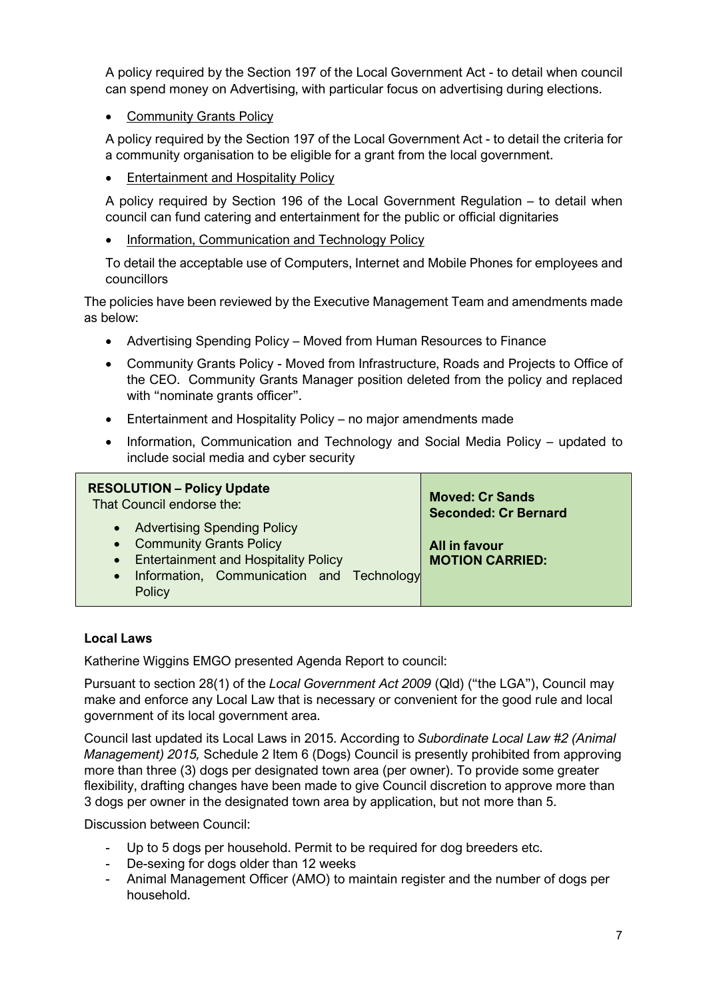A policy required by the Section 197 of the Local Government Act - to detail when council can spend money on Advertising, with particular focus on advertising during elections.

• Community Grants Policy

A policy required by the Section 197 of the Local Government Act - to detail the criteria for a community organisation to be eligible for a grant from the local government.

• Entertainment and Hospitality Policy

A policy required by Section 196 of the Local Government Regulation – to detail when council can fund catering and entertainment for the public or official dignitaries

Information, Communication and Technology Policy

To detail the acceptable use of Computers, Internet and Mobile Phones for employees and councillors

The policies have been reviewed by the Executive Management Team and amendments made as below:

- Advertising Spending Policy Moved from Human Resources to Finance
- Community Grants Policy Moved from Infrastructure, Roads and Projects to Office of the CEO. Community Grants Manager position deleted from the policy and replaced with "nominate grants officer".
- Entertainment and Hospitality Policy no major amendments made
- Information, Communication and Technology and Social Media Policy updated to include social media and cyber security

| <b>RESOLUTION - Policy Update</b>                                                                                                                             | <b>Moved: Cr Sands</b>                  |
|---------------------------------------------------------------------------------------------------------------------------------------------------------------|-----------------------------------------|
| That Council endorse the:                                                                                                                                     | <b>Seconded: Cr Bernard</b>             |
| • Advertising Spending Policy<br>• Community Grants Policy<br>• Entertainment and Hospitality Policy<br>• Information, Communication and Technology<br>Policy | All in favour<br><b>MOTION CARRIED:</b> |

### **Local Laws**

Katherine Wiggins EMGO presented Agenda Report to council:

Pursuant to section 28(1) of the *Local Government Act 2009* (Qld) ("the LGA"), Council may make and enforce any Local Law that is necessary or convenient for the good rule and local government of its local government area.

Council last updated its Local Laws in 2015. According to *Subordinate Local Law #2 (Animal Management) 2015,* Schedule 2 Item 6 (Dogs) Council is presently prohibited from approving more than three (3) dogs per designated town area (per owner). To provide some greater flexibility, drafting changes have been made to give Council discretion to approve more than 3 dogs per owner in the designated town area by application, but not more than 5.

Discussion between Council:

- Up to 5 dogs per household. Permit to be required for dog breeders etc.
- De-sexing for dogs older than 12 weeks
- Animal Management Officer (AMO) to maintain register and the number of dogs per household.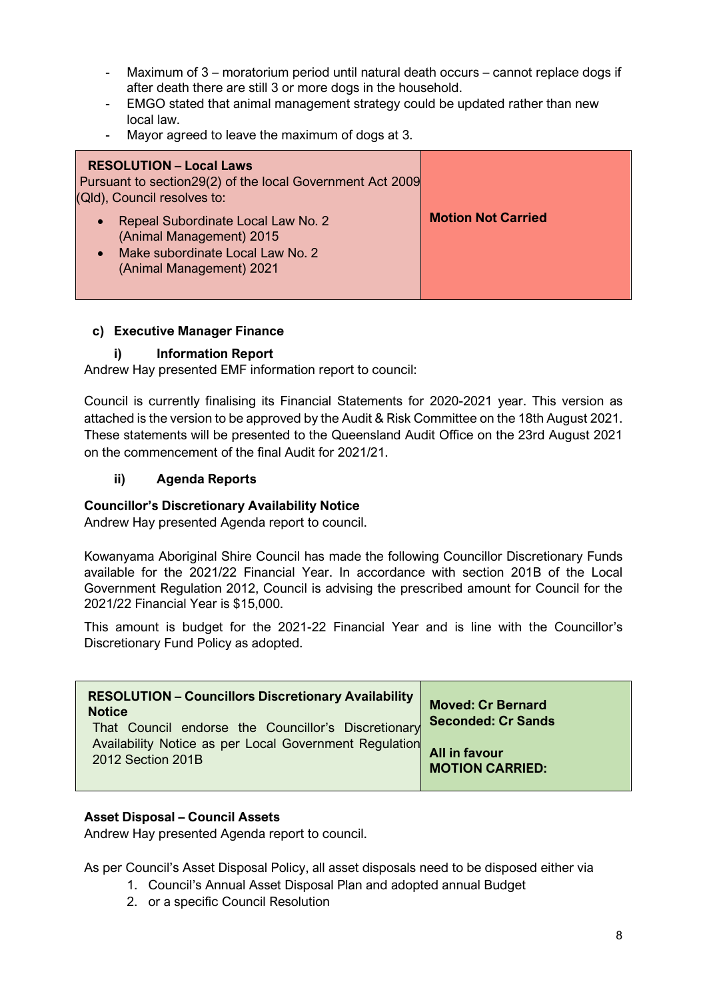- Maximum of 3 moratorium period until natural death occurs cannot replace dogs if after death there are still 3 or more dogs in the household.
- EMGO stated that animal management strategy could be updated rather than new local law.
- Mayor agreed to leave the maximum of dogs at 3.

| <b>RESOLUTION - Local Laws</b><br>Pursuant to section 29(2) of the local Government Act 2009<br>(Qld), Council resolves to:    |                           |
|--------------------------------------------------------------------------------------------------------------------------------|---------------------------|
| Repeal Subordinate Local Law No. 2<br>(Animal Management) 2015<br>Make subordinate Local Law No. 2<br>(Animal Management) 2021 | <b>Motion Not Carried</b> |

#### **c) Executive Manager Finance**

#### **i) Information Report**

Andrew Hay presented EMF information report to council:

Council is currently finalising its Financial Statements for 2020-2021 year. This version as attached is the version to be approved by the Audit & Risk Committee on the 18th August 2021. These statements will be presented to the Queensland Audit Office on the 23rd August 2021 on the commencement of the final Audit for 2021/21.

#### **ii) Agenda Reports**

#### **Councillor's Discretionary Availability Notice**

Andrew Hay presented Agenda report to council.

Kowanyama Aboriginal Shire Council has made the following Councillor Discretionary Funds available for the 2021/22 Financial Year. In accordance with section 201B of the Local Government Regulation 2012, Council is advising the prescribed amount for Council for the 2021/22 Financial Year is \$15,000.

This amount is budget for the 2021-22 Financial Year and is line with the Councillor's Discretionary Fund Policy as adopted.

| <b>RESOLUTION - Councillors Discretionary Availability</b><br><b>Notice</b><br>That Council endorse the Councillor's Discretionary | <b>Moved: Cr Bernard</b><br><b>Seconded: Cr Sands</b> |
|------------------------------------------------------------------------------------------------------------------------------------|-------------------------------------------------------|
| Availability Notice as per Local Government Regulation                                                                             | <b>All in favour</b>                                  |
| 2012 Section 201B                                                                                                                  | <b>MOTION CARRIED:</b>                                |

### **Asset Disposal – Council Assets**

Andrew Hay presented Agenda report to council.

As per Council's Asset Disposal Policy, all asset disposals need to be disposed either via

- 1. Council's Annual Asset Disposal Plan and adopted annual Budget
- 2. or a specific Council Resolution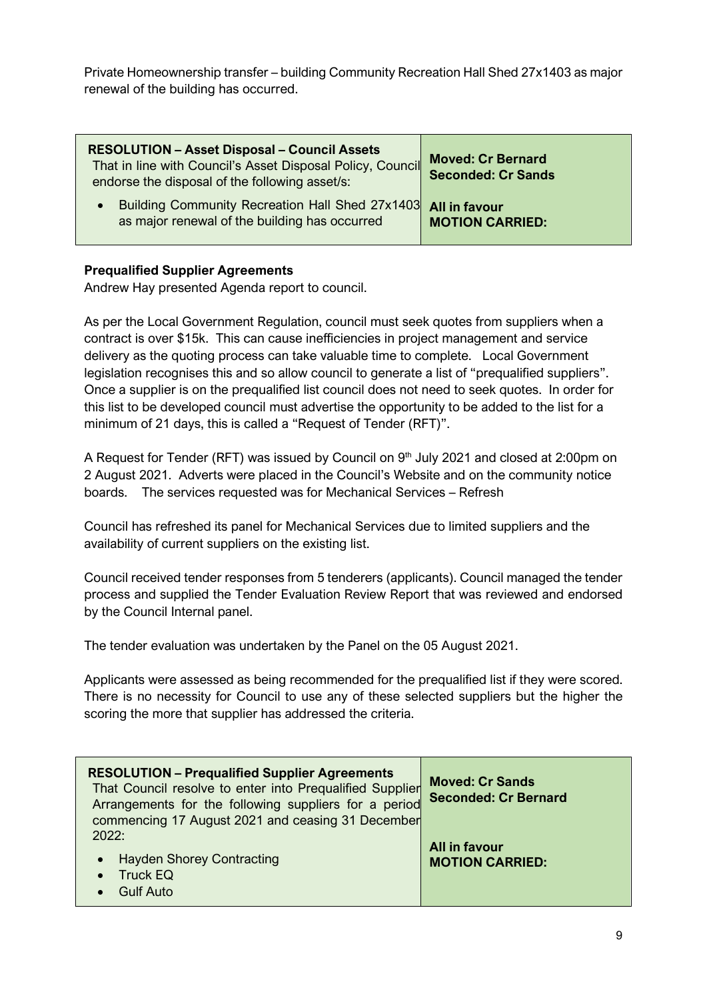Private Homeownership transfer – building Community Recreation Hall Shed 27x1403 as major renewal of the building has occurred.

| <b>RESOLUTION - Asset Disposal - Council Assets</b><br>That in line with Council's Asset Disposal Policy, Council<br>endorse the disposal of the following asset/s: | <b>Moved: Cr Bernard</b><br><b>Seconded: Cr Sands</b> |
|---------------------------------------------------------------------------------------------------------------------------------------------------------------------|-------------------------------------------------------|
| Building Community Recreation Hall Shed 27x1403<br>$\bullet$<br>as major renewal of the building has occurred                                                       | <b>All in favour</b><br><b>MOTION CARRIED:</b>        |

#### **Prequalified Supplier Agreements**

Andrew Hay presented Agenda report to council.

As per the Local Government Regulation, council must seek quotes from suppliers when a contract is over \$15k. This can cause inefficiencies in project management and service delivery as the quoting process can take valuable time to complete. Local Government legislation recognises this and so allow council to generate a list of "prequalified suppliers". Once a supplier is on the prequalified list council does not need to seek quotes. In order for this list to be developed council must advertise the opportunity to be added to the list for a minimum of 21 days, this is called a "Request of Tender (RFT)".

A Request for Tender (RFT) was issued by Council on 9<sup>th</sup> July 2021 and closed at 2:00pm on 2 August 2021. Adverts were placed in the Council's Website and on the community notice boards. The services requested was for Mechanical Services – Refresh

Council has refreshed its panel for Mechanical Services due to limited suppliers and the availability of current suppliers on the existing list.

Council received tender responses from 5 tenderers (applicants). Council managed the tender process and supplied the Tender Evaluation Review Report that was reviewed and endorsed by the Council Internal panel.

The tender evaluation was undertaken by the Panel on the 05 August 2021.

Applicants were assessed as being recommended for the prequalified list if they were scored. There is no necessity for Council to use any of these selected suppliers but the higher the scoring the more that supplier has addressed the criteria.

| <b>RESOLUTION - Prequalified Supplier Agreements</b><br>That Council resolve to enter into Prequalified Supplier<br>Arrangements for the following suppliers for a period<br>commencing 17 August 2021 and ceasing 31 December | <b>Moved: Cr Sands</b><br><b>Seconded: Cr Bernard</b> |
|--------------------------------------------------------------------------------------------------------------------------------------------------------------------------------------------------------------------------------|-------------------------------------------------------|
| 2022:<br>• Hayden Shorey Contracting<br>$\bullet$ Truck EQ<br><b>Gulf Auto</b><br>$\bullet$                                                                                                                                    | All in favour<br><b>MOTION CARRIED:</b>               |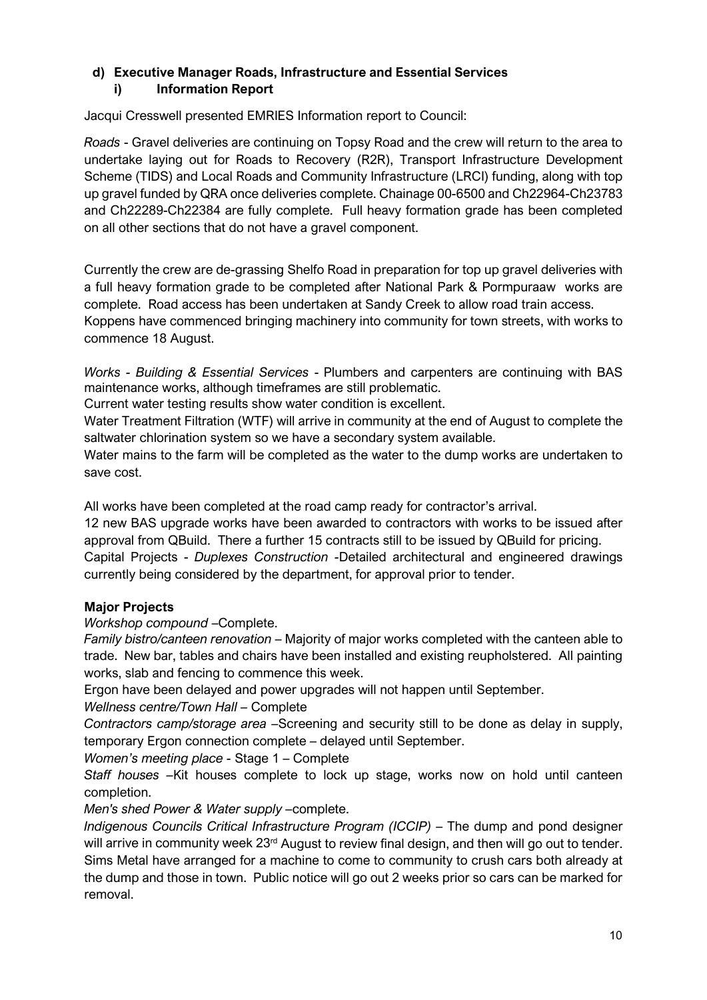# **d) Executive Manager Roads, Infrastructure and Essential Services i) Information Report**

Jacqui Cresswell presented EMRIES Information report to Council:

*Roads* - Gravel deliveries are continuing on Topsy Road and the crew will return to the area to undertake laying out for Roads to Recovery (R2R), Transport Infrastructure Development Scheme (TIDS) and Local Roads and Community Infrastructure (LRCI) funding, along with top up gravel funded by QRA once deliveries complete. Chainage 00-6500 and Ch22964-Ch23783 and Ch22289-Ch22384 are fully complete. Full heavy formation grade has been completed on all other sections that do not have a gravel component.

Currently the crew are de-grassing Shelfo Road in preparation for top up gravel deliveries with a full heavy formation grade to be completed after National Park & Pormpuraaw works are complete. Road access has been undertaken at Sandy Creek to allow road train access. Koppens have commenced bringing machinery into community for town streets, with works to commence 18 August.

*Works - Building & Essential Services* - Plumbers and carpenters are continuing with BAS maintenance works, although timeframes are still problematic.

Current water testing results show water condition is excellent.

Water Treatment Filtration (WTF) will arrive in community at the end of August to complete the saltwater chlorination system so we have a secondary system available.

Water mains to the farm will be completed as the water to the dump works are undertaken to save cost.

All works have been completed at the road camp ready for contractor's arrival.

12 new BAS upgrade works have been awarded to contractors with works to be issued after approval from QBuild. There a further 15 contracts still to be issued by QBuild for pricing. Capital Projects - *Duplexes Construction -*Detailed architectural and engineered drawings currently being considered by the department, for approval prior to tender.

# **Major Projects**

# *Workshop compound* –Complete.

*Family bistro/canteen renovation* – Majority of major works completed with the canteen able to trade. New bar, tables and chairs have been installed and existing reupholstered. All painting works, slab and fencing to commence this week.

Ergon have been delayed and power upgrades will not happen until September.

*Wellness centre/Town Hall –* Complete

*Contractors camp/storage area –*Screening and security still to be done as delay in supply, temporary Ergon connection complete – delayed until September.

*Women's meeting place -* Stage 1 – Complete

*Staff houses –*Kit houses complete to lock up stage, works now on hold until canteen completion.

*Men's shed Power & Water supply –*complete.

*Indigenous Councils Critical Infrastructure Program (ICCIP)* – The dump and pond designer will arrive in community week 23<sup>rd</sup> August to review final design, and then will go out to tender. Sims Metal have arranged for a machine to come to community to crush cars both already at the dump and those in town. Public notice will go out 2 weeks prior so cars can be marked for removal.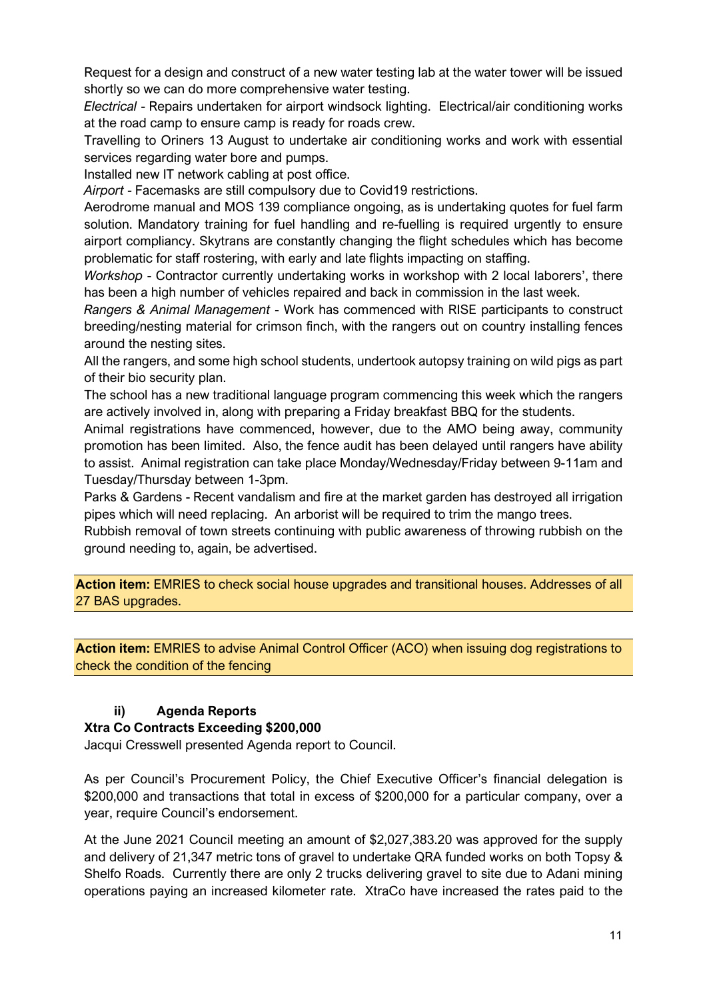Request for a design and construct of a new water testing lab at the water tower will be issued shortly so we can do more comprehensive water testing.

*Electrical* - Repairs undertaken for airport windsock lighting. Electrical/air conditioning works at the road camp to ensure camp is ready for roads crew.

Travelling to Oriners 13 August to undertake air conditioning works and work with essential services regarding water bore and pumps.

Installed new IT network cabling at post office.

*Airport* - Facemasks are still compulsory due to Covid19 restrictions.

Aerodrome manual and MOS 139 compliance ongoing, as is undertaking quotes for fuel farm solution. Mandatory training for fuel handling and re-fuelling is required urgently to ensure airport compliancy. Skytrans are constantly changing the flight schedules which has become problematic for staff rostering, with early and late flights impacting on staffing.

*Workshop* - Contractor currently undertaking works in workshop with 2 local laborers', there has been a high number of vehicles repaired and back in commission in the last week.

*Rangers & Animal Management* - Work has commenced with RISE participants to construct breeding/nesting material for crimson finch, with the rangers out on country installing fences around the nesting sites.

All the rangers, and some high school students, undertook autopsy training on wild pigs as part of their bio security plan.

The school has a new traditional language program commencing this week which the rangers are actively involved in, along with preparing a Friday breakfast BBQ for the students.

Animal registrations have commenced, however, due to the AMO being away, community promotion has been limited. Also, the fence audit has been delayed until rangers have ability to assist. Animal registration can take place Monday/Wednesday/Friday between 9-11am and Tuesday/Thursday between 1-3pm.

Parks & Gardens - Recent vandalism and fire at the market garden has destroyed all irrigation pipes which will need replacing. An arborist will be required to trim the mango trees.

Rubbish removal of town streets continuing with public awareness of throwing rubbish on the ground needing to, again, be advertised.

**Action item:** EMRIES to check social house upgrades and transitional houses. Addresses of all 27 BAS upgrades.

**Action item:** EMRIES to advise Animal Control Officer (ACO) when issuing dog registrations to check the condition of the fencing

# **ii) Agenda Reports**

### **Xtra Co Contracts Exceeding \$200,000**

Jacqui Cresswell presented Agenda report to Council.

As per Council's Procurement Policy, the Chief Executive Officer's financial delegation is \$200,000 and transactions that total in excess of \$200,000 for a particular company, over a year, require Council's endorsement.

At the June 2021 Council meeting an amount of \$2,027,383.20 was approved for the supply and delivery of 21,347 metric tons of gravel to undertake QRA funded works on both Topsy & Shelfo Roads. Currently there are only 2 trucks delivering gravel to site due to Adani mining operations paying an increased kilometer rate. XtraCo have increased the rates paid to the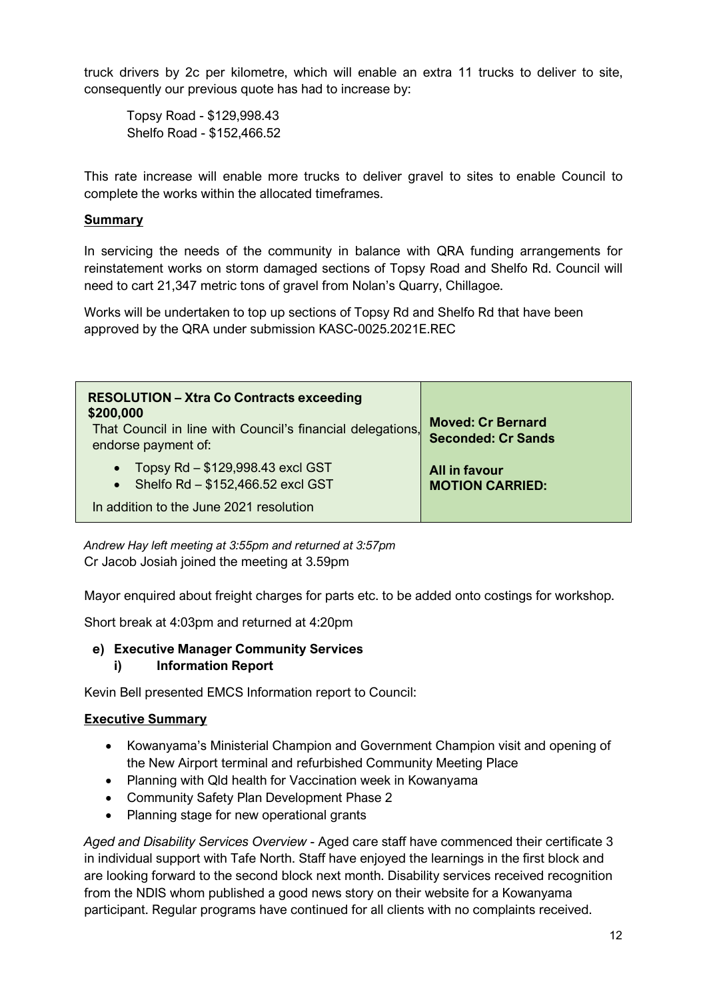truck drivers by 2c per kilometre, which will enable an extra 11 trucks to deliver to site, consequently our previous quote has had to increase by:

Topsy Road - \$129,998.43 Shelfo Road - \$152,466.52

This rate increase will enable more trucks to deliver gravel to sites to enable Council to complete the works within the allocated timeframes.

### **Summary**

In servicing the needs of the community in balance with QRA funding arrangements for reinstatement works on storm damaged sections of Topsy Road and Shelfo Rd. Council will need to cart 21,347 metric tons of gravel from Nolan's Quarry, Chillagoe.

Works will be undertaken to top up sections of Topsy Rd and Shelfo Rd that have been approved by the QRA under submission KASC-0025.2021E.REC

| <b>RESOLUTION - Xtra Co Contracts exceeding</b><br>\$200,000<br>That Council in line with Council's financial delegations,<br>endorse payment of: | <b>Moved: Cr Bernard</b><br><b>Seconded: Cr Sands</b> |
|---------------------------------------------------------------------------------------------------------------------------------------------------|-------------------------------------------------------|
| • Topsy Rd $-$ \$129,998.43 excl GST<br>• Shelfo Rd $-$ \$152,466.52 excl GST                                                                     | All in favour<br><b>MOTION CARRIED:</b>               |
| In addition to the June 2021 resolution                                                                                                           |                                                       |

*Andrew Hay left meeting at 3:55pm and returned at 3:57pm* Cr Jacob Josiah joined the meeting at 3.59pm

Mayor enquired about freight charges for parts etc. to be added onto costings for workshop.

Short break at 4:03pm and returned at 4:20pm

# **e) Executive Manager Community Services**

**i) Information Report**

Kevin Bell presented EMCS Information report to Council:

### **Executive Summary**

- Kowanyama's Ministerial Champion and Government Champion visit and opening of the New Airport terminal and refurbished Community Meeting Place
- Planning with Qld health for Vaccination week in Kowanyama
- Community Safety Plan Development Phase 2
- Planning stage for new operational grants

*Aged and Disability Services Overview* - Aged care staff have commenced their certificate 3 in individual support with Tafe North. Staff have enjoyed the learnings in the first block and are looking forward to the second block next month. Disability services received recognition from the NDIS whom published a good news story on their website for a Kowanyama participant. Regular programs have continued for all clients with no complaints received.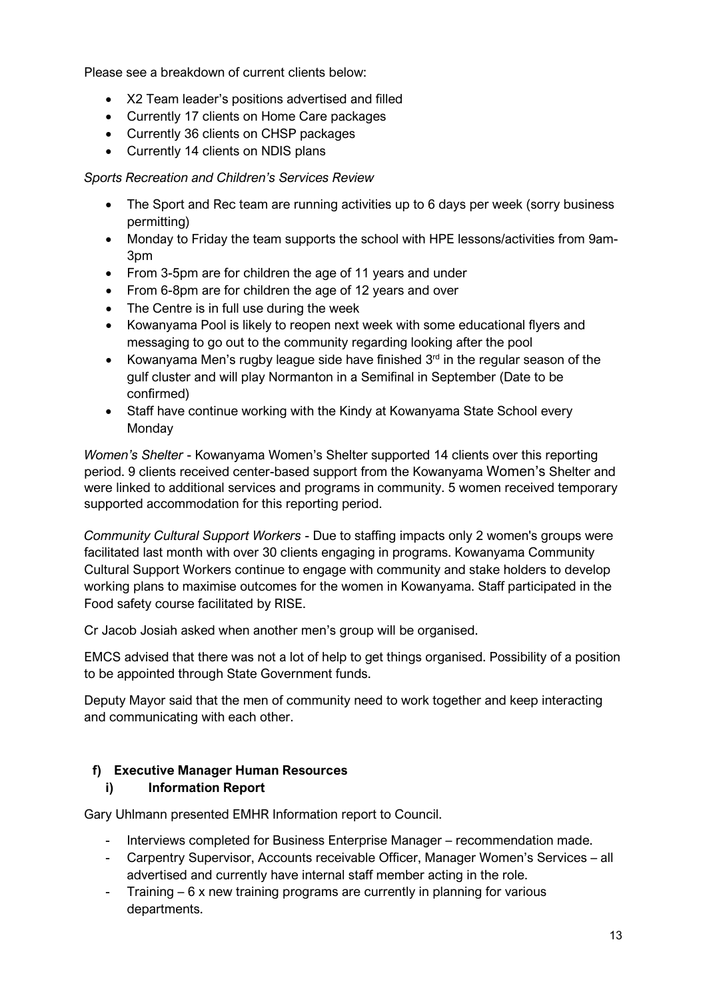Please see a breakdown of current clients below:

- X2 Team leader's positions advertised and filled
- Currently 17 clients on Home Care packages
- Currently 36 clients on CHSP packages
- Currently 14 clients on NDIS plans

*Sports Recreation and Children's Services Review* 

- The Sport and Rec team are running activities up to 6 days per week (sorry business permitting)
- Monday to Friday the team supports the school with HPE lessons/activities from 9am-3pm
- From 3-5pm are for children the age of 11 years and under
- From 6-8pm are for children the age of 12 years and over
- The Centre is in full use during the week
- Kowanyama Pool is likely to reopen next week with some educational flyers and messaging to go out to the community regarding looking after the pool
- Kowanyama Men's rugby league side have finished  $3<sup>rd</sup>$  in the regular season of the gulf cluster and will play Normanton in a Semifinal in September (Date to be confirmed)
- Staff have continue working with the Kindy at Kowanyama State School every **Monday**

*Women's Shelter* - Kowanyama Women's Shelter supported 14 clients over this reporting period. 9 clients received center-based support from the Kowanyama Women's Shelter and were linked to additional services and programs in community. 5 women received temporary supported accommodation for this reporting period.

*Community Cultural Support Workers* - Due to staffing impacts only 2 women's groups were facilitated last month with over 30 clients engaging in programs. Kowanyama Community Cultural Support Workers continue to engage with community and stake holders to develop working plans to maximise outcomes for the women in Kowanyama. Staff participated in the Food safety course facilitated by RISE.

Cr Jacob Josiah asked when another men's group will be organised.

EMCS advised that there was not a lot of help to get things organised. Possibility of a position to be appointed through State Government funds.

Deputy Mayor said that the men of community need to work together and keep interacting and communicating with each other.

# **f) Executive Manager Human Resources**

### **i) Information Report**

Gary Uhlmann presented EMHR Information report to Council.

- Interviews completed for Business Enterprise Manager recommendation made.
- Carpentry Supervisor, Accounts receivable Officer, Manager Women's Services all advertised and currently have internal staff member acting in the role.
- Training 6 x new training programs are currently in planning for various departments.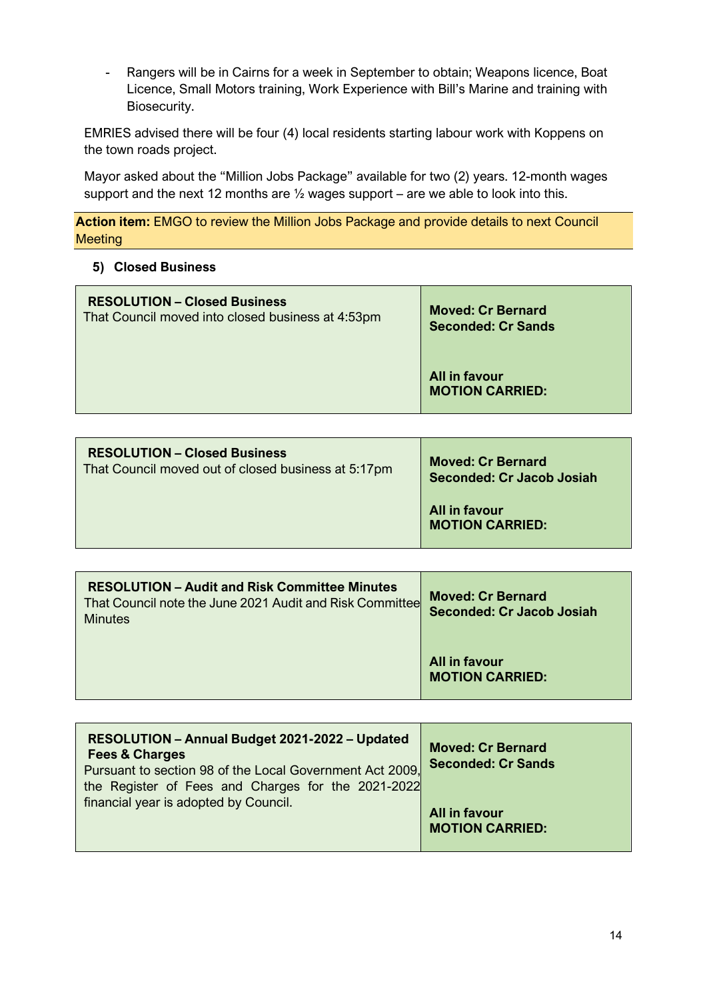- Rangers will be in Cairns for a week in September to obtain; Weapons licence, Boat Licence, Small Motors training, Work Experience with Bill's Marine and training with Biosecurity.

EMRIES advised there will be four (4) local residents starting labour work with Koppens on the town roads project.

Mayor asked about the "Million Jobs Package" available for two (2) years. 12-month wages support and the next 12 months are ½ wages support – are we able to look into this.

**Action item:** EMGO to review the Million Jobs Package and provide details to next Council **Meeting** 

### **5) Closed Business**

| <b>RESOLUTION – Closed Business</b>               | <b>Moved: Cr Bernard</b>                |
|---------------------------------------------------|-----------------------------------------|
| That Council moved into closed business at 4:53pm | <b>Seconded: Cr Sands</b>               |
|                                                   | All in favour<br><b>MOTION CARRIED:</b> |

| <b>RESOLUTION – Closed Business</b>                 | <b>Moved: Cr Bernard</b>                |
|-----------------------------------------------------|-----------------------------------------|
| That Council moved out of closed business at 5:17pm | <b>Seconded: Cr Jacob Josiah</b>        |
|                                                     | All in favour<br><b>MOTION CARRIED:</b> |

| <b>RESOLUTION - Audit and Risk Committee Minutes</b><br>That Council note the June 2021 Audit and Risk Committee<br><b>Minutes</b> | <b>Moved: Cr Bernard</b><br>Seconded: Cr Jacob Josiah |
|------------------------------------------------------------------------------------------------------------------------------------|-------------------------------------------------------|
|                                                                                                                                    | All in favour<br><b>MOTION CARRIED:</b>               |

| RESOLUTION - Annual Budget 2021-2022 - Updated<br><b>Fees &amp; Charges</b><br>Pursuant to section 98 of the Local Government Act 2009,<br>the Register of Fees and Charges for the 2021-2022<br>financial year is adopted by Council. | <b>Moved: Cr Bernard</b><br><b>Seconded: Cr Sands</b> |
|----------------------------------------------------------------------------------------------------------------------------------------------------------------------------------------------------------------------------------------|-------------------------------------------------------|
|                                                                                                                                                                                                                                        | All in favour<br><b>MOTION CARRIED:</b>               |